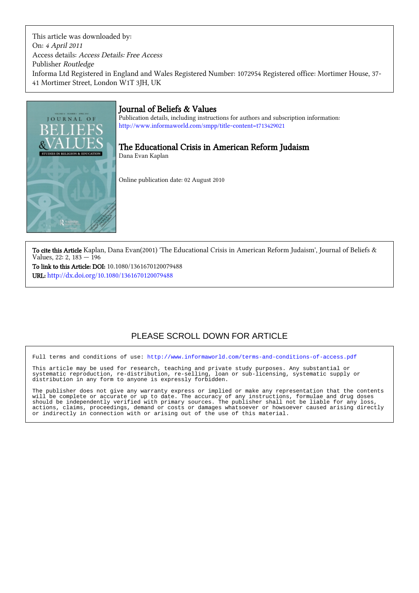This article was downloaded by: On: 4 April 2011 Access details: Access Details: Free Access Publisher Routledge Informa Ltd Registered in England and Wales Registered Number: 1072954 Registered office: Mortimer House, 37- 41 Mortimer Street, London W1T 3JH, UK



# Journal of Beliefs & Values

Publication details, including instructions for authors and subscription information: <http://www.informaworld.com/smpp/title~content=t713429021>

# The Educational Crisis in American Reform Judaism

Dana Evan Kaplan

Online publication date: 02 August 2010

To cite this Article Kaplan, Dana Evan(2001) 'The Educational Crisis in American Reform Judaism', Journal of Beliefs & Values,  $22: 2, 183 - 196$ 

To link to this Article: DOI: 10.1080/1361670120079488 URL: <http://dx.doi.org/10.1080/1361670120079488>

# PLEASE SCROLL DOWN FOR ARTICLE

Full terms and conditions of use:<http://www.informaworld.com/terms-and-conditions-of-access.pdf>

This article may be used for research, teaching and private study purposes. Any substantial or systematic reproduction, re-distribution, re-selling, loan or sub-licensing, systematic supply or distribution in any form to anyone is expressly forbidden.

The publisher does not give any warranty express or implied or make any representation that the contents will be complete or accurate or up to date. The accuracy of any instructions, formulae and drug doses should be independently verified with primary sources. The publisher shall not be liable for any loss, actions, claims, proceedings, demand or costs or damages whatsoever or howsoever caused arising directly or indirectly in connection with or arising out of the use of this material.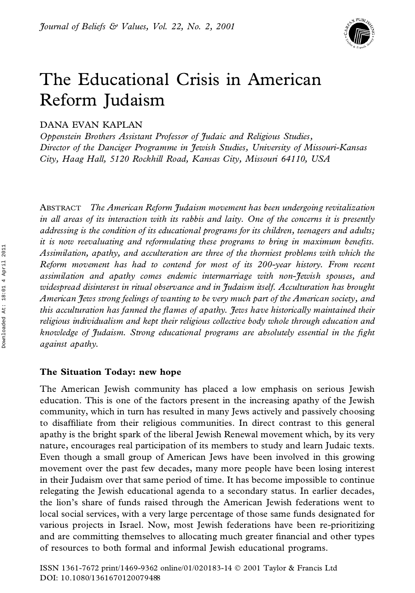

# The Educational Crisis in American Reform Judaism

DANA EVAN KAPLAN

*Oppenstein Brothers Assistant Professor of Judaic and Religious Studies, Director of the Danciger Programme in Jewish Studies, University of Missouri-Kansas City, Haag Hall, 5120 Rockhill Road, Kansas City, Missouri 64110, USA*

ABSTRACT *The American Reform Judaism movement has been undergoing revitalization in all areas of its interaction with its rabbis and laity. One of the concerns it is presently addressing is the condition of its educational programs for its children, teenagers and adults; it* is now reevaluating and reformulating these programs to bring in maximum benefits. *Assimilation, apathy, and acculteration are three of the thorniest problems with which the Reform movement has had to contend for most of its 200-year history. From recent assimilation and apathy comes endemic intermarriage with non-Jewish spouses, and widespread disinterest in ritual observance and in Judaism itself. Acculturation has brought American Jews strong feelings of wanting to be very much part of the American society, and this acculturation has fanned the ames of apathy. Jews have historically maintained their religious individualism and kept their religious collective body whole through education and knowledge of Judaism. Strong educational programs are absolutely essential in the ght against apathy.*

### **The Situation Today: new hope**

The American Jewish community has placed a low emphasis on serious Jewish education. This is one of the factors present in the increasing apathy of the Jewish community, which in turn has resulted in many Jews actively and passively choosing to disaffiliate from their religious communities. In direct contrast to this general apathy is the bright spark of the liberal Jewish Renewal movement which, by its very nature, encourages real participation of its members to study and learn Judaic texts. Even though a small group of American Jews have been involved in this growing movement over the past few decades, many more people have been losing interest in their Judaism over that same period of time. It has become impossible to continue relegating the Jewish educational agenda to a secondary status. In earlier decades, the lion's share of funds raised through the American Jewish federations went to local social services, with a very large percentage of those same funds designated for various projects in Israel. Now, most Jewish federations have been re-prioritizing and are committing themselves to allocating much greater financial and other types of resources to both formal and informal Jewish educational programs.

ISSN 1361-7672 print/1469-9362 online/01/020183-14 Ó 2001 Taylor & Francis Ltd DOI: 10.1080/1361670120079488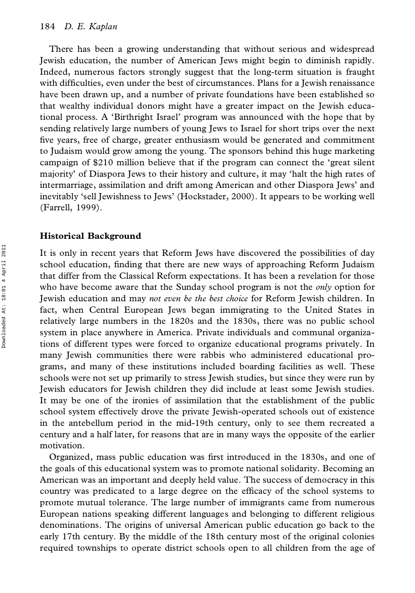#### 184 *D. E. Kaplan*

There has been a growing understanding that without serious and widespread Jewish education, the number of American Jews might begin to diminish rapidly. Indeed, numerous factors strongly suggest that the long-term situation is fraught with difficulties, even under the best of circumstances. Plans for a Jewish renaissance have been drawn up, and a number of private foundations have been established so that wealthy individual donors might have a greater impact on the Jewish educational process. A 'Birthright Israel' program was announced with the hope that by sending relatively large numbers of young Jews to Israel for short trips over the next five years, free of charge, greater enthusiasm would be generated and commitment to Judaism would grow among the young. The sponsors behind this huge marketing campaign of \$210 million believe that if the program can connect the 'great silent majority' of Diaspora Jews to their history and culture, it may 'halt the high rates of intermarriage, assimilation and drift among American and other Diaspora Jews' and inevitably 'sell Jewishness to Jews' (Hockstader, 2000). It appears to be working well (Farrell, 1999).

### **Historical Background**

It is only in recent years that Reform Jews have discovered the possibilities of day school education, finding that there are new ways of approaching Reform Judaism that differ from the Classical Reform expectations. It has been a revelation for those who have become aware that the Sunday school program is not the *only* option for Jewish education and may *not even be the best choice* for Reform Jewish children. In fact, when Central European Jews began immigrating to the United States in relatively large numbers in the 1820s and the 1830s, there was no public school system in place anywhere in America. Private individuals and communal organizations of different types were forced to organize educational programs privately. In many Jewish communities there were rabbis who administered educational pro grams, and many of these institutions included boarding facilities as well. These schools were not set up primarily to stress Jewish studies, but since they were run by Jewish educators for Jewish children they did include at least some Jewish studies. It may be one of the ironies of assimilation that the establishment of the public school system effectively drove the private Jewish-operated schools out of existence in the antebellum period in the mid-19th century, only to see them recreated a century and a half later, for reasons that are in many ways the opposite of the earlier motivation.

Organized, mass public education was first introduced in the 1830s, and one of the goals of this educational system was to promote national solidarity. Becoming an American was an important and deeply held value. The success of democracy in this country was predicated to a large degree on the efficacy of the school systems to promote mutual tolerance. The large number of immigrants came from numerous European nations speaking different languages and belonging to different religious denominations. The origins of universal American public education go back to the early 17th century. By the middle of the 18th century most of the original colonies required townships to operate district schools open to all children from the age of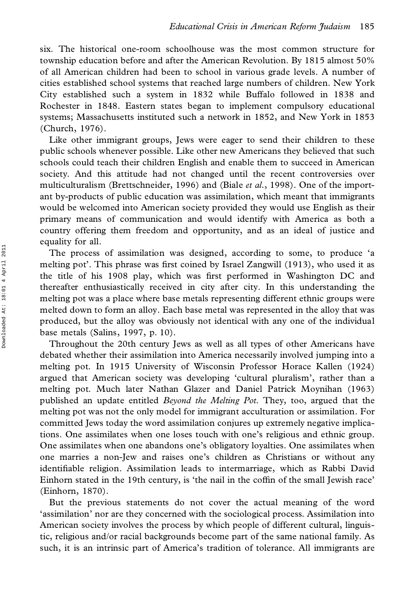six. The historical one-room schoolhouse was the most common structure for township education before and after the American Revolution. By 1815 almost 50% of all American children had been to school in various grade levels. A number of cities established school systems that reached large numbers of children. New York City established such a system in 1832 while Buffalo followed in 1838 and Rochester in 1848. Eastern states began to implement compulsory educational systems; Massachusetts instituted such a network in 1852, and New York in 1853 (Church, 1976).

Like other immigrant groups, Jews were eager to send their children to these public schools whenever possible. Like other new Americans they believed that such schools could teach their children English and enable them to succeed in American society. And this attitude had not changed until the recent controversies over multiculturalism (Brettschneider, 1996) and (Biale *et al.*, 1998). One of the import ant by-products of public education was assimilation, which meant that immigrants would be welcomed into American society provided they would use English as their primary means of communication and would identify with America as both a country offering them freedom and opportunity, and as an ideal of justice and equality for all.

The process of assimilation was designed, according to some, to produce 'a melting pot'. This phrase was first coined by Israel Zangwill  $(1913)$ , who used it as the title of his 1908 play, which was first performed in Washington DC and thereafter enthusiastically received in city after city. In this understanding the melting pot was a place where base metals representing different ethnic groups were melted down to form an alloy. Each base metal was represented in the alloy that was produced, but the alloy was obviously not identical with any one of the individual base metals (Salins, 1997, p. 10).

Throughout the 20th century Jews as well as all types of other Americans have debated whether their assimilation into America necessarily involved jumping into a melting pot. In 1915 University of Wisconsin Professor Horace Kallen (1924) argued that American society was developing 'cultural pluralism', rather than a melting pot. Much later Nathan Glazer and Daniel Patrick Moynihan (1963) published an update entitled *Beyond the Melting Pot*. They, too, argued that the melting pot was not the only model for immigrant acculturation or assimilation. For committed Jews today the word assimilation conjures up extremely negative implications. One assimilates when one loses touch with one's religious and ethnic group. One assimilates when one abandons one's obligatory loyalties. One assimilates when one marries a non-Jew and raises one's children as Christians or without any identifiable religion. Assimilation leads to intermarriage, which as Rabbi David Einhorn stated in the 19th century, is 'the nail in the coffin of the small Jewish race' (Einhorn, 1870). The process of assimilation was designed, according to some, to produce 'a<br>
meltinig por". This phrase was first coincid by Israel Zamgwill (1913), who used it<br>
the title of his 1908 play, which was first performed in Was

But the previous statements do not cover the actual meaning of the word 'assimilation' nor are they concerned with the sociological process. Assimilation into American society involves the process by which people of different cultural, linguistic, religious and/or racial backgrounds become part of the same national family. As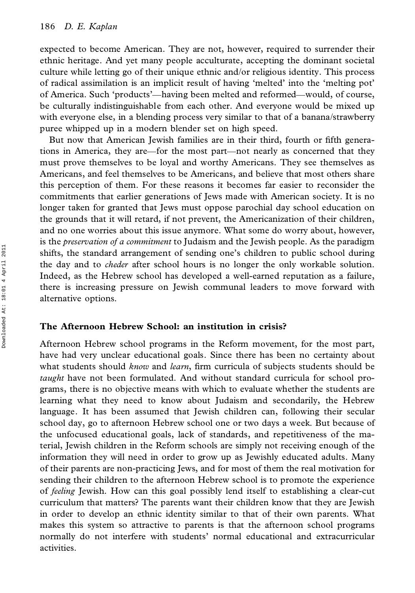expected to become American. They are not, however, required to surrender their ethnic heritage. And yet many people acculturate, accepting the dominant societal culture while letting go of their unique ethnic and/or religious identity. This process of radical assimilation is an implicit result of having 'melted' into the 'melting pot' of America. Such 'products'—having been melted and reformed—would, of course, be culturally indistinguishable from each other. And everyone would be mixed up with everyone else, in a blending process very similar to that of a banana/strawberry puree whipped up in a modern blender set on high speed.

But now that American Jewish families are in their third, fourth or fifth generations in America, they are—for the most part—not nearly as concerned that they must prove themselves to be loyal and worthy Americans. They see themselves as Americans, and feel themselves to be Americans, and believe that most others share this perception of them. For these reasons it becomes far easier to reconsider the commitments that earlier generations of Jews made with American society. It is no longer taken for granted that Jews must oppose parochial day school education on the grounds that it will retard, if not prevent, the Americanization of their children, and no one worries about this issue anymore. What some do worry about, however, is the *preservation of a commitment* to Judaism and the Jewish people. As the paradigm shifts, the standard arrangement of sending one's children to public school during the day and to *cheder* after school hours is no longer the only workable solution. Indeed, as the Hebrew school has developed a well-earned reputation as a failure, there is increasing pressure on Jewish communal leaders to move forward with alternative options.

## **The Afternoon Hebrew School: an institution in crisis?**

Afternoon Hebrew school programs in the Reform movement, for the most part, have had very unclear educational goals. Since there has been no certainty about what students should *know* and *learn*, firm curricula of subjects students should be *taught* have not been formulated. And without standard curricula for school pro grams, there is no objective means with which to evaluate whether the students are learning what they need to know about Judaism and secondarily, the Hebrew language. It has been assumed that Jewish children can, following their secular school day, go to afternoon Hebrew school one or two days a week. But because of the unfocused educational goals, lack of standards, and repetitiveness of the material, Jewish children in the Reform schools are simply not receiving enough of the information they will need in order to grow up as Jewishly educated adults. Many of their parents are non-practicing Jews, and for most of them the real motivation for sending their children to the afternoon Hebrew school is to promote the experience of *feeling* Jewish. How can this goal possibly lend itself to establishing a clear-cut curriculum that matters? The parents want their children know that they are Jewish in order to develop an ethnic identity similar to that of their own parents. What makes this system so attractive to parents is that the afternoon school programs normally do not interfere with students' normal educational and extracurricular activities.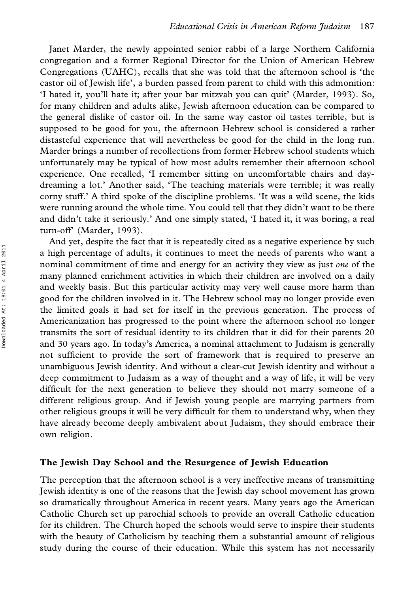Janet Marder, the newly appointed senior rabbi of a large Northern California congregation and a former Regional Director for the Union of American Hebrew Congregations (UAHC), recalls that she was told that the afternoon school is 'the castor oil of Jewish life', a burden passed from parent to child with this admonition: 'I hated it, you'll hate it; after your bar mitzvah you can quit' (Marder, 1993). So, for many children and adults alike, Jewish afternoon education can be compared to the general dislike of castor oil. In the same way castor oil tastes terrible, but is supposed to be good for you, the afternoon Hebrew school is considered a rather distasteful experience that will nevertheless be good for the child in the long run. Marder brings a number of recollections from former Hebrew school students which unfortunately may be typical of how most adults remember their afternoon school experience. One recalled, 'I remember sitting on uncomfortable chairs and day dreaming a lot.' Another said, 'The teaching materials were terrible; it was really corny stuff.' A third spoke of the discipline problems. 'It was a wild scene, the kids were running around the whole time. You could tell that they didn't want to be there and didn't take it seriously.' And one simply stated, 'I hated it, it was boring, a real turn-off' (Marder, 1993).

And yet, despite the fact that it is repeatedly cited as a negative experience by such a high percentage of adults, it continues to meet the needs of parents who want a nominal commitment of time and energy for an activity they view as just *one* of the many planned enrichment activities in which their children are involved on a daily and weekly basis. But this particular activity may very well cause more harm than good for the children involved in it. The Hebrew school may no longer provide even the limited goals it had set for itself in the previous generation. The process of Americanization has progressed to the point where the afternoon school no longer transmits the sort of residual identity to its children that it did for their parents 20 and 30 years ago. In today's America, a nominal attachment to Judaism is generally not sufficient to provide the sort of framework that is required to preserve an unambiguous Jewish identity. And without a clear-cut Jewish identity and without a deep commitment to Judaism as a way of thought and a way of life, it will be very difficult for the next generation to believe they should not marry someone of a different religious group. And if Jewish young people are marrying partners from other religious groups it will be very difficult for them to understand why, when they have already become deeply ambivalent about Judaism, they should embrace their own religion.

## **The Jewish Day School and the Resurgence of Jewish Education**

The perception that the afternoon school is a very ineffective means of transmitting Jewish identity is one of the reasons that the Jewish day school movement has grown so dramatically throughout America in recent years. Many years ago the American Catholic Church set up parochial schools to provide an overall Catholic education for its children. The Church hoped the schools would serve to inspire their students with the beauty of Catholicism by teaching them a substantial amount of religious study during the course of their education. While this system has not necessarily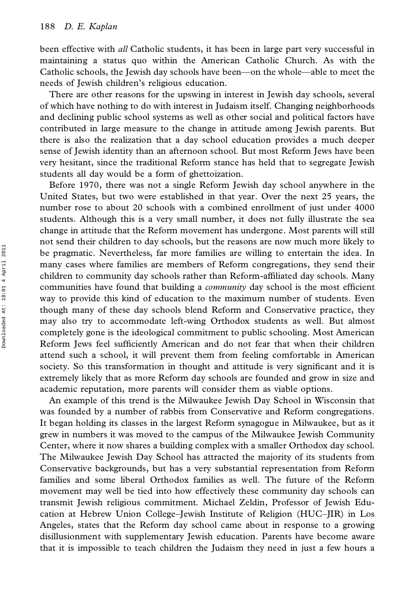been effective with *all* Catholic students, it has been in large part very successful in maintaining a status quo within the American Catholic Church. As with the Catholic schools, the Jewish day schools have been—on the whole—able to meet the needs of Jewish children's religious education.

There are other reasons for the upswing in interest in Jewish day schools, several of which have nothing to do with interest in Judaism itself. Changing neighborhoods and declining public school systems as well as other social and political factors have contributed in large measure to the change in attitude among Jewish parents. But there is also the realization that a day school education provides a much deeper sense of Jewish identity than an afternoon school. But most Reform Jews have been very hesitant, since the traditional Reform stance has held that to segregate Jewish students all day would be a form of ghettoization.

Before 1970, there was not a single Reform Jewish day school anywhere in the United States, but two were established in that year. Over the next 25 years, the number rose to about 20 schools with a combined enrollment of just under 4000 students. Although this is a very small number, it does not fully illustrate the sea change in attitude that the Reform movement has undergone. Most parents will still not send their children to day schools, but the reasons are now much more likely to be pragmatic. Nevertheless, far more families are willing to entertain the idea. In many cases where families are members of Reform congregations, they send their children to community day schools rather than Reform-affiliated day schools. Many communities have found that building a *community* day school is the most efficient way to provide this kind of education to the maximum number of students. Even though many of these day schools blend Reform and Conservative practice, they may also try to accommodate left-wing Orthodox students as well. But almost completely gone is the ideological commitment to public schooling. Most American Reform Jews feel sufficiently American and do not fear that when their children attend such a school, it will prevent them from feeling comfortable in American society. So this transformation in thought and attitude is very significant and it is extremely likely that as more Reform day schools are founded and grow in size and academic reputation, more parents will consider them as viable options.

An example of this trend is the Milwaukee Jewish Day School in Wisconsin that was founded by a number of rabbis from Conservative and Reform congregations. It began holding its classes in the largest Reform synagogue in Milwaukee, but as it grew in numbers it was moved to the campus of the Milwaukee Jewish Community Center, where it now shares a building complex with a smaller Orthodox day school. The Milwaukee Jewish Day School has attracted the majority of its students from Conservative backgrounds, but has a very substantial representation from Reform families and some liberal Orthodox families as well. The future of the Reform movement may well be tied into how effectively these community day schools can transmit Jewish religious commitment. Michael Zeldin, Professor of Jewish Edu cation at Hebrew Union College–Jewish Institute of Religion (HUC–JIR) in Los Angeles, states that the Reform day school came about in response to a growing disillusionment with supplementary Jewish education. Parents have become aware the pragmatic. Nevertheless, far more families are willing to entertain the idea. In many cases where families are members of Reform compergations, they send their value of the simulation to community day schools rather t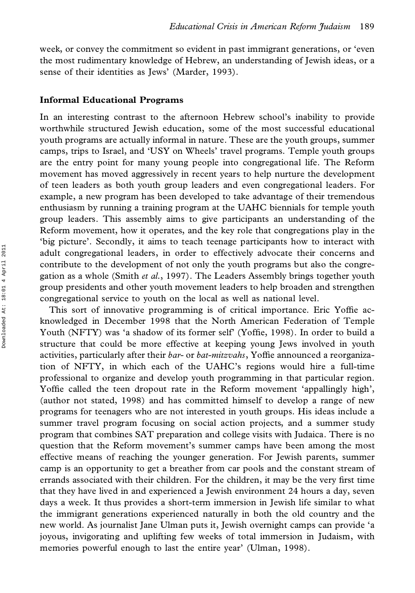week, or convey the commitment so evident in past immigrant generations, or 'even the most rudimentary knowledge of Hebrew, an understanding of Jewish ideas, or a sense of their identities as Jews' (Marder, 1993).

#### **Informal Educational Programs**

In an interesting contrast to the afternoon Hebrew school's inability to provide worthwhile structured Jewish education, some of the most successful educational youth programs are actually informal in nature. These are the youth groups, summer camps, trips to Israel, and 'USY on Wheels' travel programs. Temple youth groups are the entry point for many young people into congregational life. The Reform movement has moved aggressively in recent years to help nurture the development of teen leaders as both youth group leaders and even congregational leaders. For example, a new program has been developed to take advantage of their tremendous enthusiasm by running a training program at the UAHC biennials for temple youth group leaders. This assembly aims to give participants an understanding of the Reform movement, how it operates, and the key role that congregations play in the 'big picture'. Secondly, it aims to teach teenage participants how to interact with adult congregational leaders, in order to effectively advocate their concerns and contribute to the development of not only the youth programs but also the congre gation as a whole (Smith *et al.*, 1997). The Leaders Assembly brings together youth group presidents and other youth movement leaders to help broaden and strengthen congregational service to youth on the local as well as national level.

This sort of innovative programming is of critical importance. Eric Yoffie acknowledged in December 1998 that the North American Federation of Temple Youth (NFTY) was 'a shadow of its former self' (Yoffie, 1998). In order to build a structure that could be more effective at keeping young Jews involved in youth activities, particularly after their *bar-* or *bat-mitzvahs*, Yoffie announced a reorganization of NFTY, in which each of the UAHC's regions would hire a full-time professional to organize and develop youth programming in that particular region. Yoffie called the teen dropout rate in the Reform movement 'appallingly high', (author not stated, 1998) and has committed himself to develop a range of new programs for teenagers who are not interested in youth groups. His ideas include a summer travel program focusing on social action projects, and a summer study program that combines SAT preparation and college visits with Judaica. There is no question that the Reform movement's summer camps have been among the most effective means of reaching the younger generation. For Jewish parents, summer camp is an opportunity to get a breather from car pools and the constant stream of errands associated with their children. For the children, it may be the very first time that they have lived in and experienced a Jewish environment 24 hours a day, seven days a week. It thus provides a short-term immersion in Jewish life similar to what the immigrant generations experienced naturally in both the old country and the new world. As journalist Jane Ulman puts it, Jewish overnight camps can provide 'a joyous, invigorating and uplifting few weeks of total immersion in Judaism, with and the congregational leaders, in order to effectively advocate their<br>contribute to the development of not only the pouth programs but all<br>gation as a whole (Smith *et al.*, 1997). The Leaders Assembly brings to<br>congrega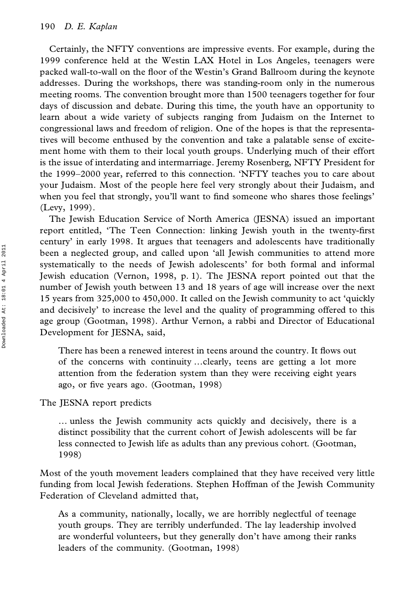Certainly, the NFTY conventions are impressive events. For example, during the 1999 conference held at the Westin LAX Hotel in Los Angeles, teenagers were packed wall-to-wall on the floor of the Westin's Grand Ballroom during the keynote addresses. During the workshops, there was standing-room only in the numerous meeting rooms. The convention brought more than 1500 teenagers together for four days of discussion and debate. During this time, the youth have an opportunity to learn about a wide variety of subjects ranging from Judaism on the Internet to congressional laws and freedom of religion. One of the hopes is that the representatives will become enthused by the convention and take a palatable sense of excite ment home with them to their local youth groups. Underlying much of their effort is the issue of interdating and intermarriage. Jeremy Rosenberg, NFTY President for the 1999–2000 year, referred to this connection. 'NFTY teaches you to care about your Judaism. Most of the people here feel very strongly about their Judaism, and when you feel that strongly, you'll want to find someone who shares those feelings' (Levy, 1999).

The Jewish Education Service of North America (JESNA) issued an important report entitled, 'The Teen Connection: linking Jewish youth in the twenty-first century' in early 1998. It argues that teenagers and adolescents have traditionally been a neglected group, and called upon 'all Jewish communities to attend more systematically to the needs of Jewish adolescents' for both formal and informal Jewish education (Vernon, 1998, p. 1). The JESNA report pointed out that the number of Jewish youth between 13 and 18 years of age will increase over the next 15 years from 325,000 to 450,000. It called on the Jewish community to act 'quickly and decisively' to increase the level and the quality of programming offered to this age group (Gootman, 1998). Arthur Vernon, a rabbi and Director of Educational Development for JESNA, said, been a neglected group, and called upon 'all Jewisl<br>systematically to the needs of Jewish adolescents'<br>levish education (Vermon, 1998, p. 1). The JESN<br>number of Jewish vouth between 13 and 18 years of<br>15 years from 325,000

There has been a renewed interest in teens around the country. It flows out of the concerns with continuity …clearly, teens are getting a lot more attention from the federation system than they were receiving eight years ago, or five years ago. (Gootman, 1998)

The JESNA report predicts

… unless the Jewish community acts quickly and decisively, there is a distinct possibility that the current cohort of Jewish adolescents will be far less connected to Jewish life as adults than any previous cohort. (Gootman, 1998)

Most of the youth movement leaders complained that they have received very little funding from local Jewish federations. Stephen Hoffman of the Jewish Community Federation of Cleveland admitted that,

As a community, nationally, locally, we are horribly neglectful of teenage youth groups. They are terribly underfunded. The lay leadership involved are wonderful volunteers, but they generally don't have among their ranks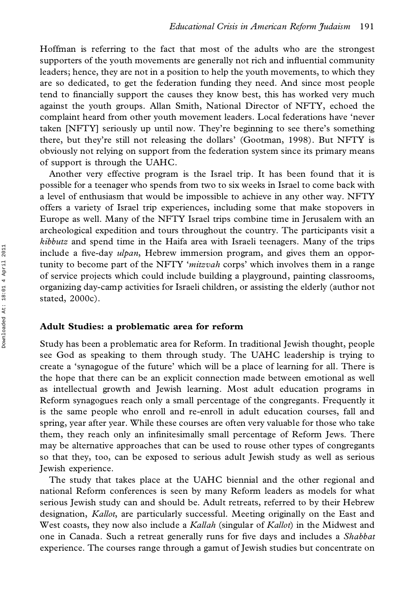Hoffman is referring to the fact that most of the adults who are the strongest supporters of the youth movements are generally not rich and influential community leaders; hence, they are not in a position to help the youth movements, to which they are so dedicated, to get the federation funding they need. And since most people tend to financially support the causes they know best, this has worked very much against the youth groups. Allan Smith, National Director of NFTY, echoed the complaint heard from other youth movement leaders. Local federations have 'never taken [NFTY] seriously up until now. They're beginning to see there's something there, but they're still not releasing the dollars' (Gootman, 1998). But NFTY is obviously not relying on support from the federation system since its primary means of support is through the UAHC.

Another very effective program is the Israel trip. It has been found that it is possible for a teenager who spends from two to six weeks in Israel to come back with a level of enthusiasm that would be impossible to achieve in any other way. NFTY offers a variety of Israel trip experiences, including some that make stopovers in Europe as well. Many of the NFTY Israel trips combine time in Jerusalem with an archeological expedition and tours throughout the country. The participants visit a *kibbutz* and spend time in the Haifa area with Israeli teenagers. Many of the trips include a five-day *ulpan*, Hebrew immersion program, and gives them an opportunity to become part of the NFTY '*mitzvah* corps' which involves them in a range of service projects which could include building a playground, painting classrooms, organizing day-camp activities for Israeli children, or assisting the elderly (author not stated, 2000c).

#### **Adult Studies: a problematic area for reform**

Study has been a problematic area for Reform. In traditional Jewish thought, people see God as speaking to them through study. The UAHC leadership is trying to create a 'synagogue of the future' which will be a place of learning for all. There is the hope that there can be an explicit connection made between emotional as well as intellectual growth and Jewish learning. Most adult education programs in Reform synagogues reach only a small percentage of the congregants. Frequently it is the same people who enroll and re-enroll in adult education courses, fall and spring, year after year. While these courses are often very valuable for those who take them, they reach only an infinitesimally small percentage of Reform Jews. There may be alternative approaches that can be used to rouse other types of congregants so that they, too, can be exposed to serious adult Jewish study as well as serious Jewish experience.

The study that takes place at the UAHC biennial and the other regional and national Reform conferences is seen by many Reform leaders as models for what serious Jewish study can and should be. Adult retreats, referred to by their Hebrew designation, *Kallot*, are particularly successful. Meeting originally on the East and West coasts, they now also include a *Kallah* (singular of *Kallot*) in the Midwest and one in Canada. Such a retreat generally runs for five days and includes a *Shabbat* experience. The courses range through a gamut of Jewish studies but concentrate on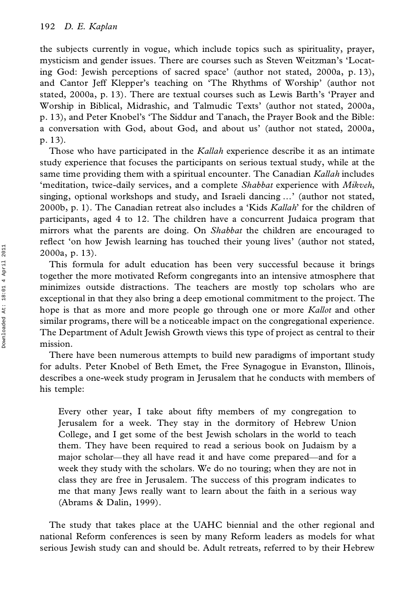the subjects currently in vogue, which include topics such as spirituality, prayer, mysticism and gender issues. There are courses such as Steven Weitzman's 'Locating God: Jewish perceptions of sacred space' (author not stated, 2000a, p. 13), and Cantor Jeff Klepper's teaching on 'The Rhythms of Worship' (author not stated, 2000a, p. 13). There are textual courses such as Lewis Barth's 'Prayer and Worship in Biblical, Midrashic, and Talmudic Texts' (author not stated, 2000a, p. 13), and Peter Knobel's 'The Siddur and Tanach, the Prayer Book and the Bible: a conversation with God, about God, and about us' (author not stated, 2000a, p. 13).

Those who have participated in the *Kallah* experience describe it as an intimate study experience that focuses the participants on serious textual study, while at the same time providing them with a spiritual encounter. The Canadian *Kallah* includes 'meditation, twice-daily services, and a complete *Shabbat* experience with *Mikveh*, singing, optional workshops and study, and Israeli dancing …' (author not stated, 2000b, p. 1). The Canadian retreat also includes a 'Kids *Kallah*' for the children of participants, aged 4 to 12. The children have a concurrent Judaica program that mirrors what the parents are doing. On *Shabbat* the children are encouraged to reflect 'on how Jewish learning has touched their young lives' (author not stated, 2000a, p. 13).

This formula for adult education has been very successful because it brings together the more motivated Reform congregants into an intensive atmosphere that minimizes outside distractions. The teachers are mostly top scholars who are exceptional in that they also bring a deep emotional commitment to the project. The hope is that as more and more people go through one or more *Kallot* and other similar programs, there will be a noticeable impact on the congregational experience. The Department of Adult Jewish Growth views this type of project as central to their mission.

There have been numerous attempts to build new paradigms of important study for adults. Peter Knobel of Beth Emet, the Free Synagogue in Evanston, Illinois, describes a one-week study program in Jerusalem that he conducts with members of his temple:

Every other year, I take about fifty members of my congregation to Jerusalem for a week. They stay in the dormitory of Hebrew Union College, and I get some of the best Jewish scholars in the world to teach them. They have been required to read a serious book on Judaism by a major scholar—they all have read it and have come prepared—and for a week they study with the scholars. We do no touring; when they are not in class they are free in Jerusalem. The success of this program indicates to me that many Jews really want to learn about the faith in a serious way (Abrams & Dalin, 1999).

The study that takes place at the UAHC biennial and the other regional and national Reform conferences is seen by many Reform leaders as models for what serious Jewish study can and should be. Adult retreats, referred to by their Hebrew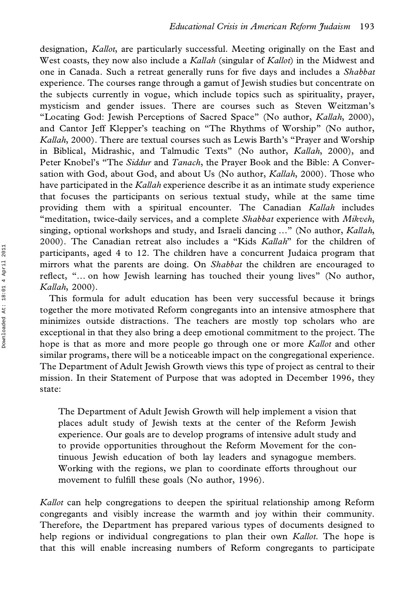designation, *Kallot*, are particularly successful. Meeting originally on the East and West coasts, they now also include a *Kallah* (singular of *Kallot*) in the Midwest and one in Canada. Such a retreat generally runs for five days and includes a *Shabbat* experience. The courses range through a gamut of Jewish studies but concentrate on the subjects currently in vogue, which include topics such as spirituality, prayer, mysticism and gender issues. There are courses such as Steven Weitzman's "Locating God: Jewish Perceptions of Sacred Space" (No author, *Kallah*, 2000), and Cantor Jeff Klepper's teaching on "The Rhythms of Worship" (No author, *Kallah*, 2000). There are textual courses such as Lewis Barth's "Prayer and Worship in Biblical, Midrashic, and Talmudic Texts" (No author, *Kallah*, 2000), and Peter Knobel's "The *Siddur* and *Tanach*, the Prayer Book and the Bible: A Conversation with God, about God, and about Us (No author, *Kallah*, 2000). Those who have participated in the *Kallah* experience describe it as an intimate study experience that focuses the participants on serious textual study, while at the same time providing them with a spiritual encounter. The Canadian *Kallah* includes "meditation, twice-daily services, and a complete *Shabbat* experience with *Mikveh*, singing, optional workshops and study, and Israeli dancing …" (No author, *Kallah*, 2000). The Canadian retreat also includes a "Kids *Kallah*" for the children of participants, aged 4 to 12. The children have a concurrent Judaica program that mirrors what the parents are doing. On *Shabbat* the children are encouraged to reflect, "... on how Jewish learning has touched their young lives" (No author, *Kallah*, 2000).

This formula for adult education has been very successful because it brings together the more motivated Reform congregants into an intensive atmosphere that minimizes outside distractions. The teachers are mostly top scholars who are exceptional in that they also bring a deep emotional commitment to the project. The hope is that as more and more people go through one or more *Kallot* and other similar programs, there will be a noticeable impact on the congregational experience. The Department of Adult Jewish Growth views this type of project as central to their mission. In their Statement of Purpose that was adopted in December 1996, they state: participants, aged 4 to 12. The children have a concurrent Judaica program that<br>mirrors what the parents are doing. On *Shabbar* the children are encouraged to<br>relate, "... on how Jewish learning has touched their young l

The Department of Adult Jewish Growth will help implement a vision that places adult study of Jewish texts at the center of the Reform Jewish experience. Our goals are to develop programs of intensive adult study and to provide opportunities throughout the Reform Movement for the continuous Jewish education of both lay leaders and synagogue members. Working with the regions, we plan to coordinate efforts throughout our movement to fulfill these goals (No author, 1996).

*Kallot* can help congregations to deepen the spiritual relationship among Reform congregants and visibly increase the warmth and joy within their community. Therefore, the Department has prepared various types of documents designed to help regions or individual congregations to plan their own *Kallot*. The hope is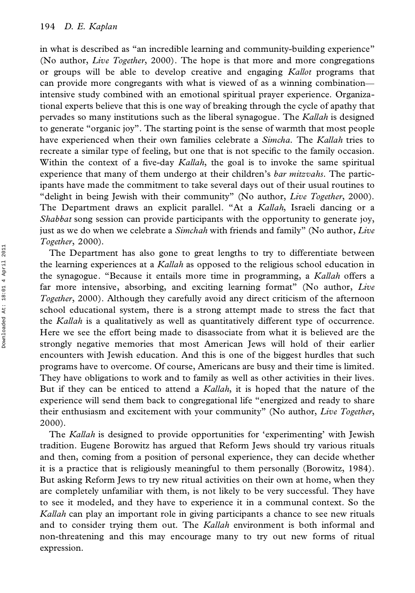in what is described as "an incredible learning and community-building experience" (No author, *Live Together*, 2000). The hope is that more and more congregations or groups will be able to develop creative and engaging *Kallot* programs that can provide more congregants with what is viewed of as a winning combination intensive study combined with an emotional spiritual prayer experience. Organizational experts believe that this is one way of breaking through the cycle of apathy that pervades so many institutions such as the liberal synagogue. The *Kallah* is designed to generate "organic joy". The starting point is the sense of warmth that most people have experienced when their own families celebrate a *Simcha.* The *Kallah* tries to recreate a similar type of feeling, but one that is not specific to the family occasion. Within the context of a five-day *Kallah*, the goal is to invoke the same spiritual experience that many of them undergo at their children's *bar mitzvahs*. The participants have made the commitment to take several days out of their usual routines to "delight in being Jewish with their community" (No author, *Live Together*, 2000). The Department draws an explicit parallel. "At a *Kallah*, Israeli dancing or a *Shabbat* song session can provide participants with the opportunity to generate joy, just as we do when we celebrate a *Simchah* with friends and family" (No author, *Live Together*, 2000).

The Department has also gone to great lengths to try to differentiate between the learning experiences at a *Kallah* as opposed to the religious school education in the synagogue. "Because it entails more time in programming, a *Kallah* offers a far more intensive, absorbing, and exciting learning format" (No author, *Live Together*, 2000). Although they carefully avoid any direct criticism of the afternoon school educational system, there is a strong attempt made to stress the fact that the *Kallah* is a qualitatively as well as quantitatively different type of occurrence. Here we see the effort being made to disassociate from what it is believed are the strongly negative memories that most American Jews will hold of their earlier encounters with Jewish education. And this is one of the biggest hurdles that such programs have to overcome. Of course, Americans are busy and their time is limited. They have obligations to work and to family as well as other activities in their lives. But if they can be enticed to attend a *Kallah*, it is hoped that the nature of the experience will send them back to congregational life "energized and ready to share their enthusiasm and excitement with your community" (No author, *Live Together*, 2000).

The *Kallah* is designed to provide opportunities for 'experimenting' with Jewish tradition. Eugene Borowitz has argued that Reform Jews should try various rituals and then, coming from a position of personal experience, they can decide whether it is a practice that is religiously meaningful to them personally (Borowitz, 1984). But asking Reform Jews to try new ritual activities on their own at home, when they are completely unfamiliar with them, is not likely to be very successful. They have to see it modeled, and they have to experience it in a communal context. So the *Kallah* can play an important role in giving participants a chance to see new rituals and to consider trying them out. The *Kallah* environment is both informal and non-threatening and this may encourage many to try out new forms of ritual expression.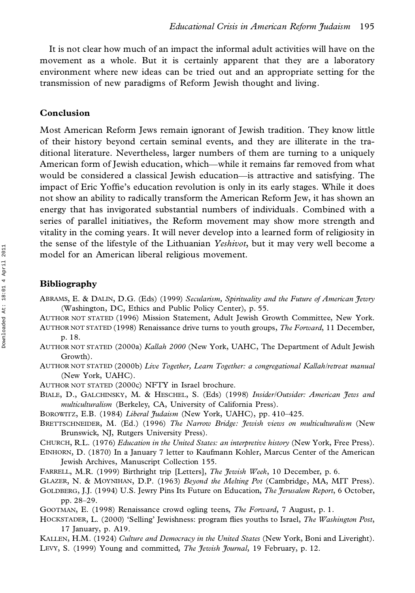It is not clear how much of an impact the informal adult activities will have on the movement as a whole. But it is certainly apparent that they are a laboratory environment where new ideas can be tried out and an appropriate setting for the transmission of new paradigms of Reform Jewish thought and living.

## **Conclusion**

Most American Reform Jews remain ignorant of Jewish tradition. They know little of their history beyond certain seminal events, and they are illiterate in the tra ditional literature. Nevertheless, larger numbers of them are turning to a uniquely American form of Jewish education, which—while it remains far removed from what would be considered a classical Jewish education—is attractive and satisfying. The impact of Eric Yoffie's education revolution is only in its early stages. While it does not show an ability to radically transform the American Reform Jew, it has shown an energy that has invigorated substantial numbers of individuals. Combined with a series of parallel initiatives, the Reform movement may show more strength and vitality in the coming years. It will never develop into a learned form of religiosity in the sense of the lifestyle of the Lithuanian *Yeshivot*, but it may very well become a model for an American liberal religious movement.

#### **Bibliography**

- ABRAMS, E. & DALIN, D.G. (Eds) (1999) *Secularism, Spirituality and the Future of American Jewry* (Washington, DC, Ethics and Public Policy Center), p. 55.
- AUTHOR NOT STATED (1996) Mission Statement, Adult Jewish Growth Committee, New York. AUTHOR NOT STATED (1998) Renaissance drive turns to youth groups, *The Forward*, 11 December,

p. 18.

- AUTHOR NOT STATED (2000a) *Kallah 2000* (New York, UAHC, The Department of Adult Jewish Growth).
- AUTHOR NOT STATED (2000b) *Live Together, Learn Together: a congregational Kallah/retreat manual* (New York, UAHC).
- AUTHOR NOT STATED (2000c) NFTY in Israel brochure.
- BIALE, D., GALCHINSKY, M. & HESCHEL, S. (Eds) (1998) *Insider/Outsider: American Jews and multiculturalism* (Berkeley, CA, University of California Press).
- BOROWITZ, E.B. (1984) *Liberal Judaism* (New York, UAHC), pp. 410–425.
- BRETTSCHNEIDER, M. (Ed.) (1996) *The Narrow Bridge: Jewish views on multiculturalism* (New Brunswick, NJ, Rutgers University Press).
- CHURCH, R.L. (1976) *Education in the United States: an interpretive history* (New York, Free Press).
- EINHORN, D. (1870) In a January 7 letter to Kaufmann Kohler, Marcus Center of the American Jewish Archives, Manuscript Collection 155. LEVT CHUCK COMPONET CONSIDER AT A SUBATE CONSIDENT CONDUCT THE COMPONENT CONDUCT THE COMPONENT COMPONENT COMPONENT CONDUCT THE COMPONENT CONDUCT COMPONENT COMPONENT CONDUCT THE **ATTION CONDUCT J J J ATTION NATURE A** 
	- FARRELL, M.R. (1999) Birthright trip [Letters], *The 'fewish Week*, 10 December, p. 6.
	- GLAZER, N. & MOYNIHAN, D.P. (1963) *Beyond the Melting Pot* (Cambridge, MA, MIT Press).
	- GOLDBERG, J.J. (1994) U.S. Jewry Pins Its Future on Education, *The Jerusalem Report*, 6 October, pp. 28–29.
	- GOOTMAN, E. (1998) Renaissance crowd ogling teens, *The Forward*, 7 August, p. 1.
	- HOCKSTADER, L. (2000) 'Selling' Jewishness: program ies youths to Israel, *The Washington Post*, 17 January, p. A19.
	- KALLEN, H.M. (1924) *Culture and Democracy in the United States* (New York, Boni and Liveright).
	-